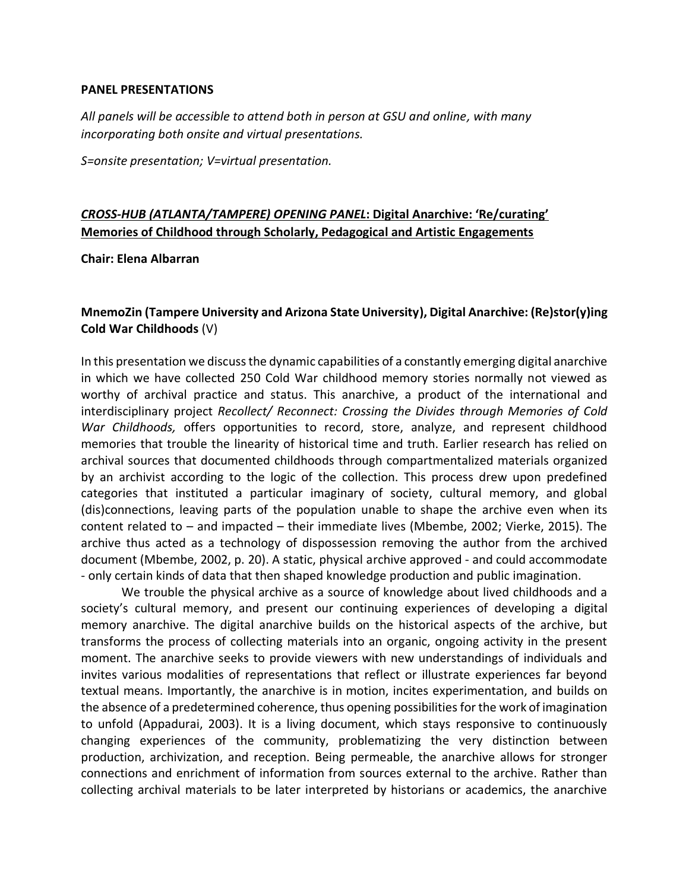#### **PANEL PRESENTATIONS**

*All panels will be accessible to attend both in person at GSU and online, with many incorporating both onsite and virtual presentations.*

*S=onsite presentation; V=virtual presentation.*

# *CROSS-HUB (ATLANTA/TAMPERE) OPENING PANEL***: Digital Anarchive: 'Re/curating' Memories of Childhood through Scholarly, Pedagogical and Artistic Engagements**

**Chair: Elena Albarran**

#### **MnemoZin (Tampere University and Arizona State University), Digital Anarchive: (Re)stor(y)ing Cold War Childhoods** (V)

In this presentation we discuss the dynamic capabilities of a constantly emerging digital anarchive in which we have collected 250 Cold War childhood memory stories normally not viewed as worthy of archival practice and status. This anarchive, a product of the international and interdisciplinary project *Recollect/ Reconnect: Crossing the Divides through Memories of Cold War Childhoods,* offers opportunities to record, store, analyze, and represent childhood memories that trouble the linearity of historical time and truth. Earlier research has relied on archival sources that documented childhoods through compartmentalized materials organized by an archivist according to the logic of the collection. This process drew upon predefined categories that instituted a particular imaginary of society, cultural memory, and global (dis)connections, leaving parts of the population unable to shape the archive even when its content related to – and impacted – their immediate lives (Mbembe, 2002; Vierke, 2015). The archive thus acted as a technology of dispossession removing the author from the archived document (Mbembe, 2002, p. 20). A static, physical archive approved - and could accommodate - only certain kinds of data that then shaped knowledge production and public imagination.

We trouble the physical archive as a source of knowledge about lived childhoods and a society's cultural memory, and present our continuing experiences of developing a digital memory anarchive. The digital anarchive builds on the historical aspects of the archive, but transforms the process of collecting materials into an organic, ongoing activity in the present moment. The anarchive seeks to provide viewers with new understandings of individuals and invites various modalities of representations that reflect or illustrate experiences far beyond textual means. Importantly, the anarchive is in motion, incites experimentation, and builds on the absence of a predetermined coherence, thus opening possibilities for the work of imagination to unfold (Appadurai, 2003). It is a living document, which stays responsive to continuously changing experiences of the community, problematizing the very distinction between production, archivization, and reception. Being permeable, the anarchive allows for stronger connections and enrichment of information from sources external to the archive. Rather than collecting archival materials to be later interpreted by historians or academics, the anarchive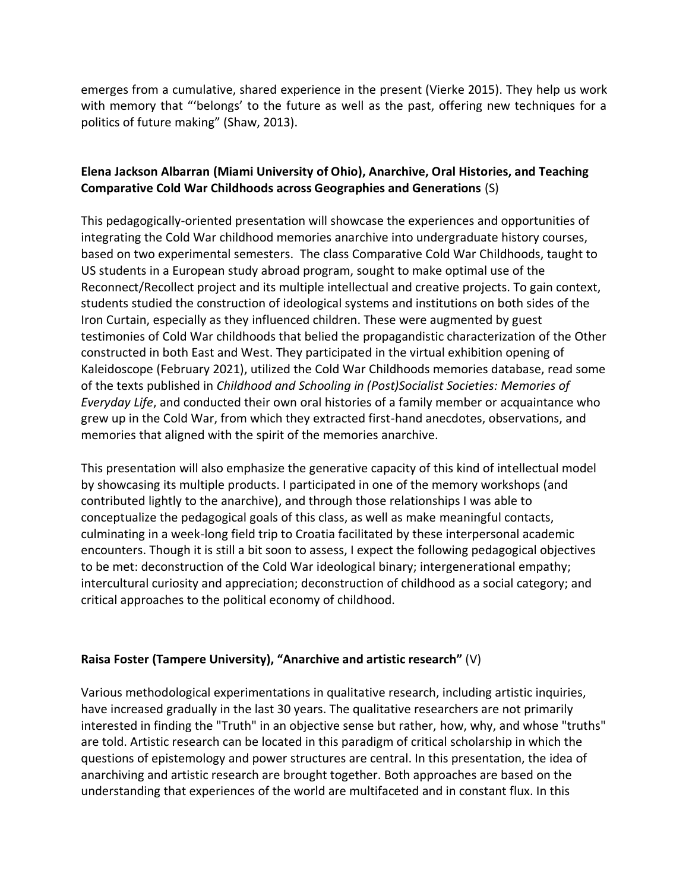emerges from a cumulative, shared experience in the present (Vierke 2015). They help us work with memory that "'belongs' to the future as well as the past, offering new techniques for a politics of future making" (Shaw, 2013).

### **Elena Jackson Albarran (Miami University of Ohio), Anarchive, Oral Histories, and Teaching Comparative Cold War Childhoods across Geographies and Generations** (S)

This pedagogically-oriented presentation will showcase the experiences and opportunities of integrating the Cold War childhood memories anarchive into undergraduate history courses, based on two experimental semesters. The class Comparative Cold War Childhoods, taught to US students in a European study abroad program, sought to make optimal use of the Reconnect/Recollect project and its multiple intellectual and creative projects. To gain context, students studied the construction of ideological systems and institutions on both sides of the Iron Curtain, especially as they influenced children. These were augmented by guest testimonies of Cold War childhoods that belied the propagandistic characterization of the Other constructed in both East and West. They participated in the virtual exhibition opening of Kaleidoscope (February 2021), utilized the Cold War Childhoods memories database, read some of the texts published in *Childhood and Schooling in (Post)Socialist Societies: Memories of Everyday Life*, and conducted their own oral histories of a family member or acquaintance who grew up in the Cold War, from which they extracted first-hand anecdotes, observations, and memories that aligned with the spirit of the memories anarchive.

This presentation will also emphasize the generative capacity of this kind of intellectual model by showcasing its multiple products. I participated in one of the memory workshops (and contributed lightly to the anarchive), and through those relationships I was able to conceptualize the pedagogical goals of this class, as well as make meaningful contacts, culminating in a week-long field trip to Croatia facilitated by these interpersonal academic encounters. Though it is still a bit soon to assess, I expect the following pedagogical objectives to be met: deconstruction of the Cold War ideological binary; intergenerational empathy; intercultural curiosity and appreciation; deconstruction of childhood as a social category; and critical approaches to the political economy of childhood.

#### **Raisa Foster (Tampere University), "Anarchive and artistic research"** (V)

Various methodological experimentations in qualitative research, including artistic inquiries, have increased gradually in the last 30 years. The qualitative researchers are not primarily interested in finding the "Truth" in an objective sense but rather, how, why, and whose "truths" are told. Artistic research can be located in this paradigm of critical scholarship in which the questions of epistemology and power structures are central. In this presentation, the idea of anarchiving and artistic research are brought together. Both approaches are based on the understanding that experiences of the world are multifaceted and in constant flux. In this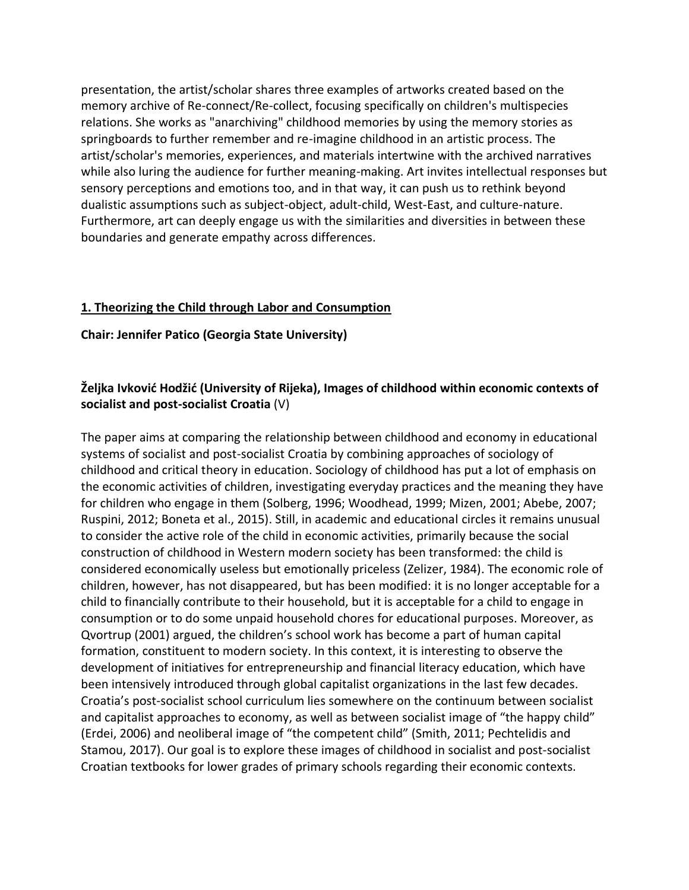presentation, the artist/scholar shares three examples of artworks created based on the memory archive of Re-connect/Re-collect, focusing specifically on children's multispecies relations. She works as "anarchiving" childhood memories by using the memory stories as springboards to further remember and re-imagine childhood in an artistic process. The artist/scholar's memories, experiences, and materials intertwine with the archived narratives while also luring the audience for further meaning-making. Art invites intellectual responses but sensory perceptions and emotions too, and in that way, it can push us to rethink beyond dualistic assumptions such as subject-object, adult-child, West-East, and culture-nature. Furthermore, art can deeply engage us with the similarities and diversities in between these boundaries and generate empathy across differences.

#### **1. Theorizing the Child through Labor and Consumption**

#### **Chair: Jennifer Patico (Georgia State University)**

# **Željka Ivković Hodžić (University of Rijeka), Images of childhood within economic contexts of socialist and post-socialist Croatia** (V)

The paper aims at comparing the relationship between childhood and economy in educational systems of socialist and post-socialist Croatia by combining approaches of sociology of childhood and critical theory in education. Sociology of childhood has put a lot of emphasis on the economic activities of children, investigating everyday practices and the meaning they have for children who engage in them (Solberg, 1996; Woodhead, 1999; Mizen, 2001; Abebe, 2007; Ruspini, 2012; Boneta et al., 2015). Still, in academic and educational circles it remains unusual to consider the active role of the child in economic activities, primarily because the social construction of childhood in Western modern society has been transformed: the child is considered economically useless but emotionally priceless (Zelizer, 1984). The economic role of children, however, has not disappeared, but has been modified: it is no longer acceptable for a child to financially contribute to their household, but it is acceptable for a child to engage in consumption or to do some unpaid household chores for educational purposes. Moreover, as Qvortrup (2001) argued, the children's school work has become a part of human capital formation, constituent to modern society. In this context, it is interesting to observe the development of initiatives for entrepreneurship and financial literacy education, which have been intensively introduced through global capitalist organizations in the last few decades. Croatia's post-socialist school curriculum lies somewhere on the continuum between socialist and capitalist approaches to economy, as well as between socialist image of "the happy child" (Erdei, 2006) and neoliberal image of "the competent child" (Smith, 2011; Pechtelidis and Stamou, 2017). Our goal is to explore these images of childhood in socialist and post-socialist Croatian textbooks for lower grades of primary schools regarding their economic contexts.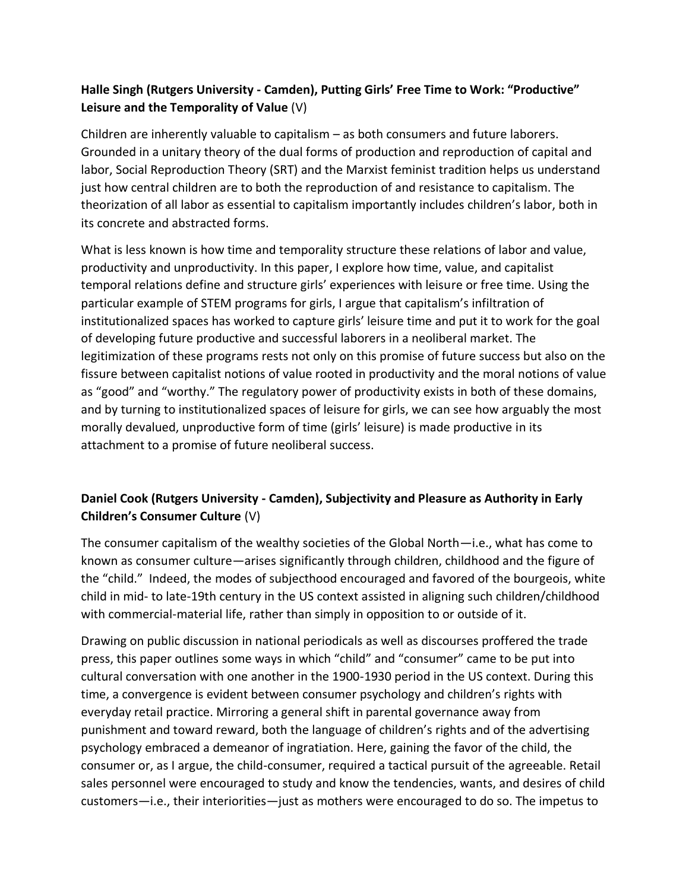# **Halle Singh (Rutgers University - Camden), Putting Girls' Free Time to Work: "Productive" Leisure and the Temporality of Value** (V)

Children are inherently valuable to capitalism – as both consumers and future laborers. Grounded in a unitary theory of the dual forms of production and reproduction of capital and labor, Social Reproduction Theory (SRT) and the Marxist feminist tradition helps us understand just how central children are to both the reproduction of and resistance to capitalism. The theorization of all labor as essential to capitalism importantly includes children's labor, both in its concrete and abstracted forms.

What is less known is how time and temporality structure these relations of labor and value, productivity and unproductivity. In this paper, I explore how time, value, and capitalist temporal relations define and structure girls' experiences with leisure or free time. Using the particular example of STEM programs for girls, I argue that capitalism's infiltration of institutionalized spaces has worked to capture girls' leisure time and put it to work for the goal of developing future productive and successful laborers in a neoliberal market. The legitimization of these programs rests not only on this promise of future success but also on the fissure between capitalist notions of value rooted in productivity and the moral notions of value as "good" and "worthy." The regulatory power of productivity exists in both of these domains, and by turning to institutionalized spaces of leisure for girls, we can see how arguably the most morally devalued, unproductive form of time (girls' leisure) is made productive in its attachment to a promise of future neoliberal success.

# **Daniel Cook (Rutgers University - Camden), Subjectivity and Pleasure as Authority in Early Children's Consumer Culture** (V)

The consumer capitalism of the wealthy societies of the Global North—i.e., what has come to known as consumer culture—arises significantly through children, childhood and the figure of the "child." Indeed, the modes of subjecthood encouraged and favored of the bourgeois, white child in mid- to late-19th century in the US context assisted in aligning such children/childhood with commercial-material life, rather than simply in opposition to or outside of it.

Drawing on public discussion in national periodicals as well as discourses proffered the trade press, this paper outlines some ways in which "child" and "consumer" came to be put into cultural conversation with one another in the 1900-1930 period in the US context. During this time, a convergence is evident between consumer psychology and children's rights with everyday retail practice. Mirroring a general shift in parental governance away from punishment and toward reward, both the language of children's rights and of the advertising psychology embraced a demeanor of ingratiation. Here, gaining the favor of the child, the consumer or, as I argue, the child-consumer, required a tactical pursuit of the agreeable. Retail sales personnel were encouraged to study and know the tendencies, wants, and desires of child customers—i.e., their interiorities—just as mothers were encouraged to do so. The impetus to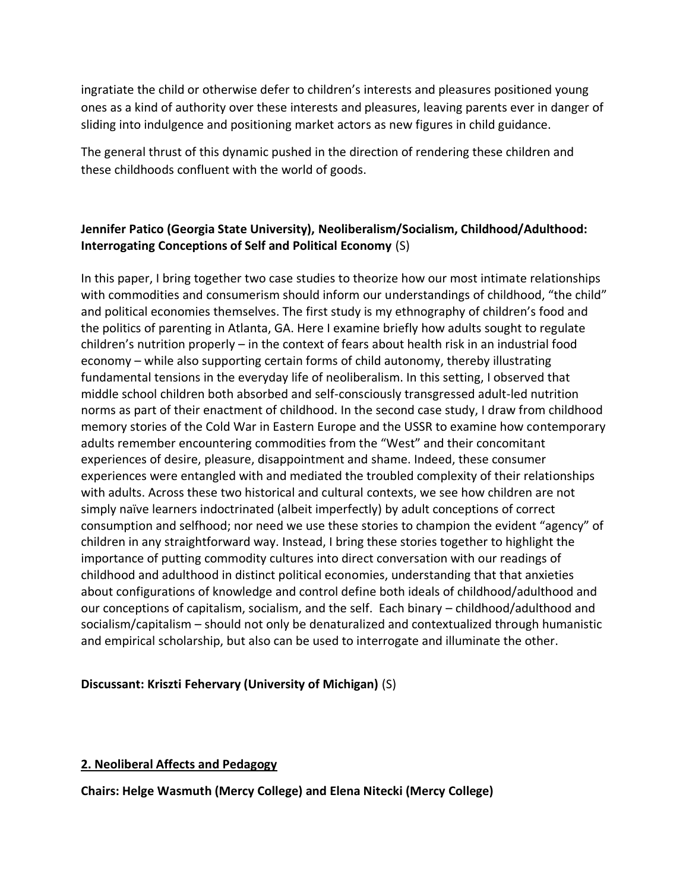ingratiate the child or otherwise defer to children's interests and pleasures positioned young ones as a kind of authority over these interests and pleasures, leaving parents ever in danger of sliding into indulgence and positioning market actors as new figures in child guidance.

The general thrust of this dynamic pushed in the direction of rendering these children and these childhoods confluent with the world of goods.

# **Jennifer Patico (Georgia State University), Neoliberalism/Socialism, Childhood/Adulthood: Interrogating Conceptions of Self and Political Economy** (S)

In this paper, I bring together two case studies to theorize how our most intimate relationships with commodities and consumerism should inform our understandings of childhood, "the child" and political economies themselves. The first study is my ethnography of children's food and the politics of parenting in Atlanta, GA. Here I examine briefly how adults sought to regulate children's nutrition properly – in the context of fears about health risk in an industrial food economy – while also supporting certain forms of child autonomy, thereby illustrating fundamental tensions in the everyday life of neoliberalism. In this setting, I observed that middle school children both absorbed and self-consciously transgressed adult-led nutrition norms as part of their enactment of childhood. In the second case study, I draw from childhood memory stories of the Cold War in Eastern Europe and the USSR to examine how contemporary adults remember encountering commodities from the "West" and their concomitant experiences of desire, pleasure, disappointment and shame. Indeed, these consumer experiences were entangled with and mediated the troubled complexity of their relationships with adults. Across these two historical and cultural contexts, we see how children are not simply naïve learners indoctrinated (albeit imperfectly) by adult conceptions of correct consumption and selfhood; nor need we use these stories to champion the evident "agency" of children in any straightforward way. Instead, I bring these stories together to highlight the importance of putting commodity cultures into direct conversation with our readings of childhood and adulthood in distinct political economies, understanding that that anxieties about configurations of knowledge and control define both ideals of childhood/adulthood and our conceptions of capitalism, socialism, and the self. Each binary – childhood/adulthood and socialism/capitalism – should not only be denaturalized and contextualized through humanistic and empirical scholarship, but also can be used to interrogate and illuminate the other.

### **Discussant: Kriszti Fehervary (University of Michigan)** (S)

### **2. Neoliberal Affects and Pedagogy**

**Chairs: Helge Wasmuth (Mercy College) and Elena Nitecki (Mercy College)**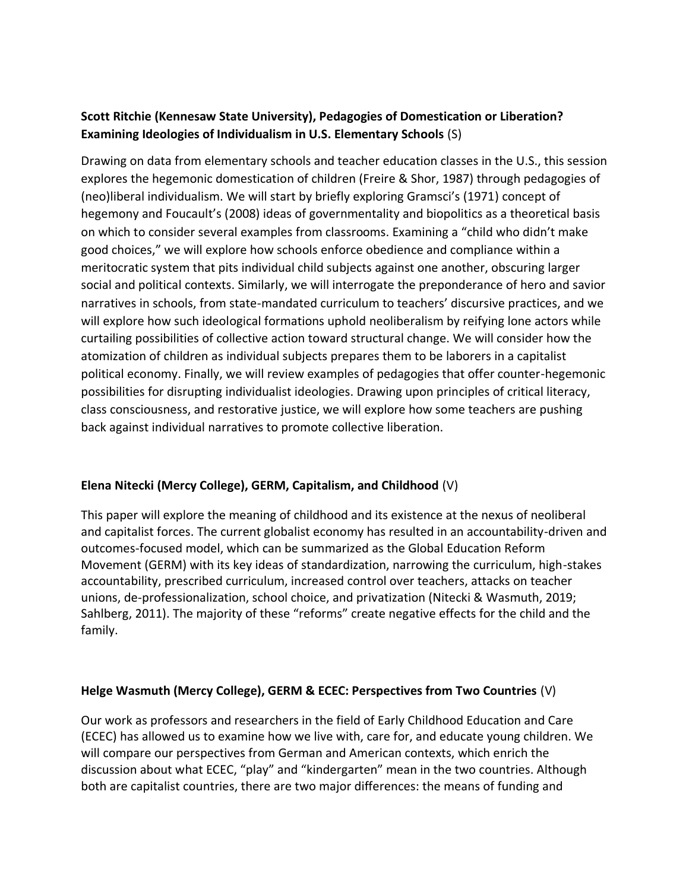# **Scott Ritchie (Kennesaw State University), Pedagogies of Domestication or Liberation? Examining Ideologies of Individualism in U.S. Elementary Schools** (S)

Drawing on data from elementary schools and teacher education classes in the U.S., this session explores the hegemonic domestication of children (Freire & Shor, 1987) through pedagogies of (neo)liberal individualism. We will start by briefly exploring Gramsci's (1971) concept of hegemony and Foucault's (2008) ideas of governmentality and biopolitics as a theoretical basis on which to consider several examples from classrooms. Examining a "child who didn't make good choices," we will explore how schools enforce obedience and compliance within a meritocratic system that pits individual child subjects against one another, obscuring larger social and political contexts. Similarly, we will interrogate the preponderance of hero and savior narratives in schools, from state-mandated curriculum to teachers' discursive practices, and we will explore how such ideological formations uphold neoliberalism by reifying lone actors while curtailing possibilities of collective action toward structural change. We will consider how the atomization of children as individual subjects prepares them to be laborers in a capitalist political economy. Finally, we will review examples of pedagogies that offer counter-hegemonic possibilities for disrupting individualist ideologies. Drawing upon principles of critical literacy, class consciousness, and restorative justice, we will explore how some teachers are pushing back against individual narratives to promote collective liberation.

### **Elena Nitecki (Mercy College), GERM, Capitalism, and Childhood** (V)

This paper will explore the meaning of childhood and its existence at the nexus of neoliberal and capitalist forces. The current globalist economy has resulted in an accountability-driven and outcomes-focused model, which can be summarized as the Global Education Reform Movement (GERM) with its key ideas of standardization, narrowing the curriculum, high-stakes accountability, prescribed curriculum, increased control over teachers, attacks on teacher unions, de-professionalization, school choice, and privatization (Nitecki & Wasmuth, 2019; Sahlberg, 2011). The majority of these "reforms" create negative effects for the child and the family.

### **Helge Wasmuth (Mercy College), GERM & ECEC: Perspectives from Two Countries** (V)

Our work as professors and researchers in the field of Early Childhood Education and Care (ECEC) has allowed us to examine how we live with, care for, and educate young children. We will compare our perspectives from German and American contexts, which enrich the discussion about what ECEC, "play" and "kindergarten" mean in the two countries. Although both are capitalist countries, there are two major differences: the means of funding and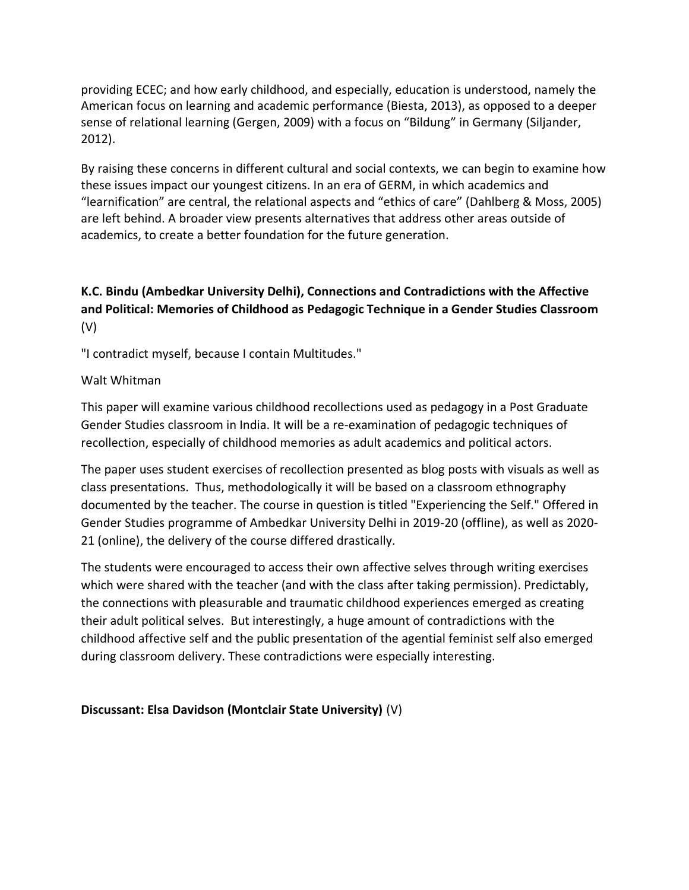providing ECEC; and how early childhood, and especially, education is understood, namely the American focus on learning and academic performance (Biesta, 2013), as opposed to a deeper sense of relational learning (Gergen, 2009) with a focus on "Bildung" in Germany (Siljander, 2012).

By raising these concerns in different cultural and social contexts, we can begin to examine how these issues impact our youngest citizens. In an era of GERM, in which academics and "learnification" are central, the relational aspects and "ethics of care" (Dahlberg & Moss, 2005) are left behind. A broader view presents alternatives that address other areas outside of academics, to create a better foundation for the future generation.

# **K.C. Bindu (Ambedkar University Delhi), Connections and Contradictions with the Affective and Political: Memories of Childhood as Pedagogic Technique in a Gender Studies Classroom** (V)

"I contradict myself, because I contain Multitudes."

### Walt Whitman

This paper will examine various childhood recollections used as pedagogy in a Post Graduate Gender Studies classroom in India. It will be a re-examination of pedagogic techniques of recollection, especially of childhood memories as adult academics and political actors.

The paper uses student exercises of recollection presented as blog posts with visuals as well as class presentations. Thus, methodologically it will be based on a classroom ethnography documented by the teacher. The course in question is titled "Experiencing the Self." Offered in Gender Studies programme of Ambedkar University Delhi in 2019-20 (offline), as well as 2020- 21 (online), the delivery of the course differed drastically.

The students were encouraged to access their own affective selves through writing exercises which were shared with the teacher (and with the class after taking permission). Predictably, the connections with pleasurable and traumatic childhood experiences emerged as creating their adult political selves. But interestingly, a huge amount of contradictions with the childhood affective self and the public presentation of the agential feminist self also emerged during classroom delivery. These contradictions were especially interesting.

#### **Discussant: Elsa Davidson (Montclair State University)** (V)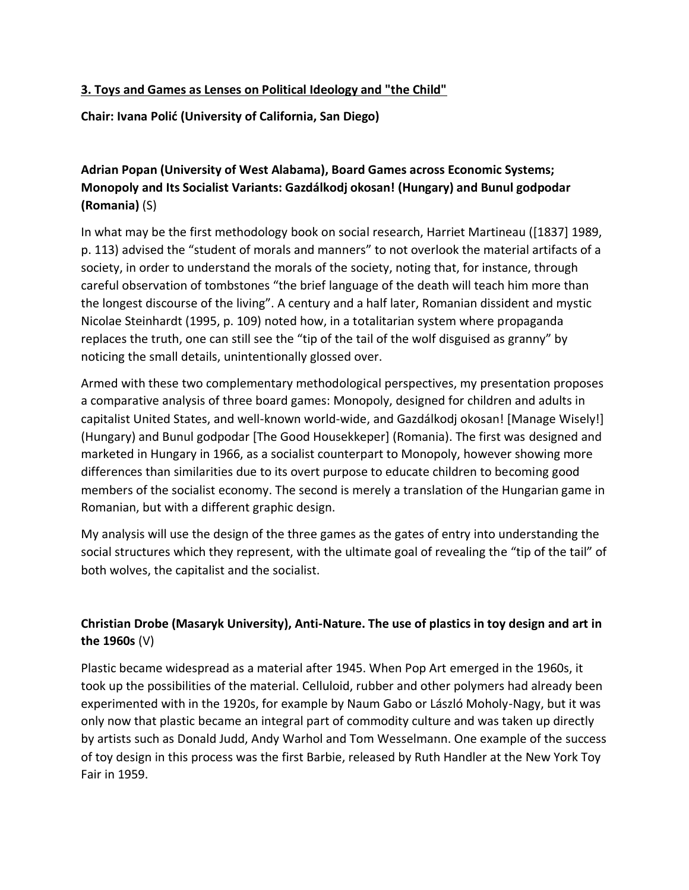### **3. Toys and Games as Lenses on Political Ideology and "the Child"**

**Chair: Ivana Polić (University of California, San Diego)**

# **Adrian Popan (University of West Alabama), Board Games across Economic Systems; Monopoly and Its Socialist Variants: Gazdálkodj okosan! (Hungary) and Bunul godpodar (Romania)** (S)

In what may be the first methodology book on social research, Harriet Martineau ([1837] 1989, p. 113) advised the "student of morals and manners" to not overlook the material artifacts of a society, in order to understand the morals of the society, noting that, for instance, through careful observation of tombstones "the brief language of the death will teach him more than the longest discourse of the living". A century and a half later, Romanian dissident and mystic Nicolae Steinhardt (1995, p. 109) noted how, in a totalitarian system where propaganda replaces the truth, one can still see the "tip of the tail of the wolf disguised as granny" by noticing the small details, unintentionally glossed over.

Armed with these two complementary methodological perspectives, my presentation proposes a comparative analysis of three board games: Monopoly, designed for children and adults in capitalist United States, and well-known world-wide, and Gazdálkodj okosan! [Manage Wisely!] (Hungary) and Bunul godpodar [The Good Housekkeper] (Romania). The first was designed and marketed in Hungary in 1966, as a socialist counterpart to Monopoly, however showing more differences than similarities due to its overt purpose to educate children to becoming good members of the socialist economy. The second is merely a translation of the Hungarian game in Romanian, but with a different graphic design.

My analysis will use the design of the three games as the gates of entry into understanding the social structures which they represent, with the ultimate goal of revealing the "tip of the tail" of both wolves, the capitalist and the socialist.

# **Christian Drobe (Masaryk University), Anti-Nature. The use of plastics in toy design and art in the 1960s** (V)

Plastic became widespread as a material after 1945. When Pop Art emerged in the 1960s, it took up the possibilities of the material. Celluloid, rubber and other polymers had already been experimented with in the 1920s, for example by Naum Gabo or László Moholy-Nagy, but it was only now that plastic became an integral part of commodity culture and was taken up directly by artists such as Donald Judd, Andy Warhol and Tom Wesselmann. One example of the success of toy design in this process was the first Barbie, released by Ruth Handler at the New York Toy Fair in 1959.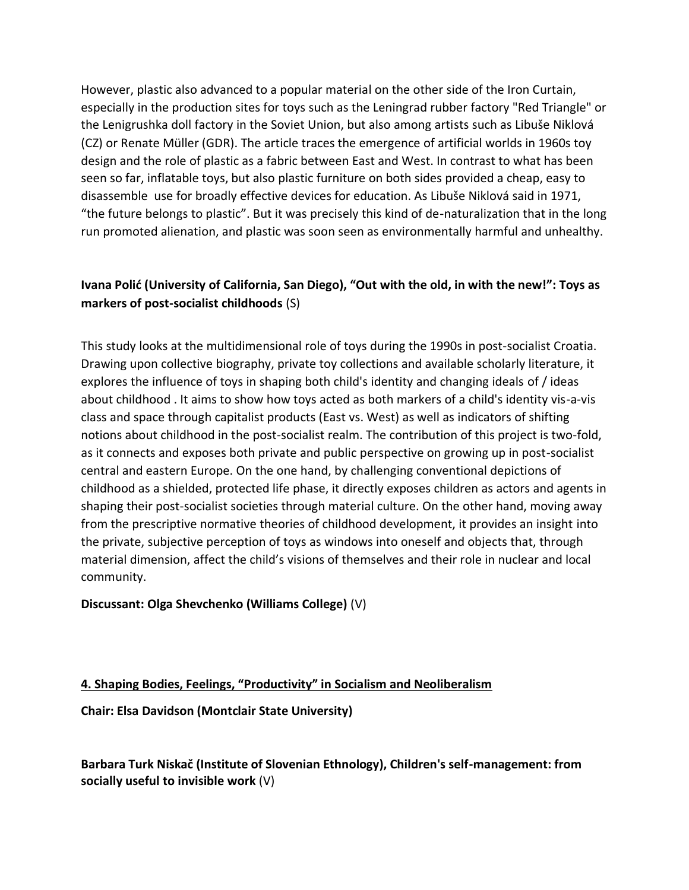However, plastic also advanced to a popular material on the other side of the Iron Curtain, especially in the production sites for toys such as the Leningrad rubber factory "Red Triangle" or the Lenigrushka doll factory in the Soviet Union, but also among artists such as Libuše Niklová (CZ) or Renate Müller (GDR). The article traces the emergence of artificial worlds in 1960s toy design and the role of plastic as a fabric between East and West. In contrast to what has been seen so far, inflatable toys, but also plastic furniture on both sides provided a cheap, easy to disassemble use for broadly effective devices for education. As Libuše Niklová said in 1971, "the future belongs to plastic". But it was precisely this kind of de-naturalization that in the long run promoted alienation, and plastic was soon seen as environmentally harmful and unhealthy.

# **Ivana Polić (University of California, San Diego), "Out with the old, in with the new!": Toys as markers of post-socialist childhoods** (S)

This study looks at the multidimensional role of toys during the 1990s in post-socialist Croatia. Drawing upon collective biography, private toy collections and available scholarly literature, it explores the influence of toys in shaping both child's identity and changing ideals of / ideas about childhood . It aims to show how toys acted as both markers of a child's identity vis-a-vis class and space through capitalist products (East vs. West) as well as indicators of shifting notions about childhood in the post-socialist realm. The contribution of this project is two-fold, as it connects and exposes both private and public perspective on growing up in post-socialist central and eastern Europe. On the one hand, by challenging conventional depictions of childhood as a shielded, protected life phase, it directly exposes children as actors and agents in shaping their post-socialist societies through material culture. On the other hand, moving away from the prescriptive normative theories of childhood development, it provides an insight into the private, subjective perception of toys as windows into oneself and objects that, through material dimension, affect the child's visions of themselves and their role in nuclear and local community.

### **Discussant: Olga Shevchenko (Williams College)** (V)

### **4. Shaping Bodies, Feelings, "Productivity" in Socialism and Neoliberalism**

**Chair: Elsa Davidson (Montclair State University)**

**Barbara Turk Niskač (Institute of Slovenian Ethnology), Children's self-management: from socially useful to invisible work** (V)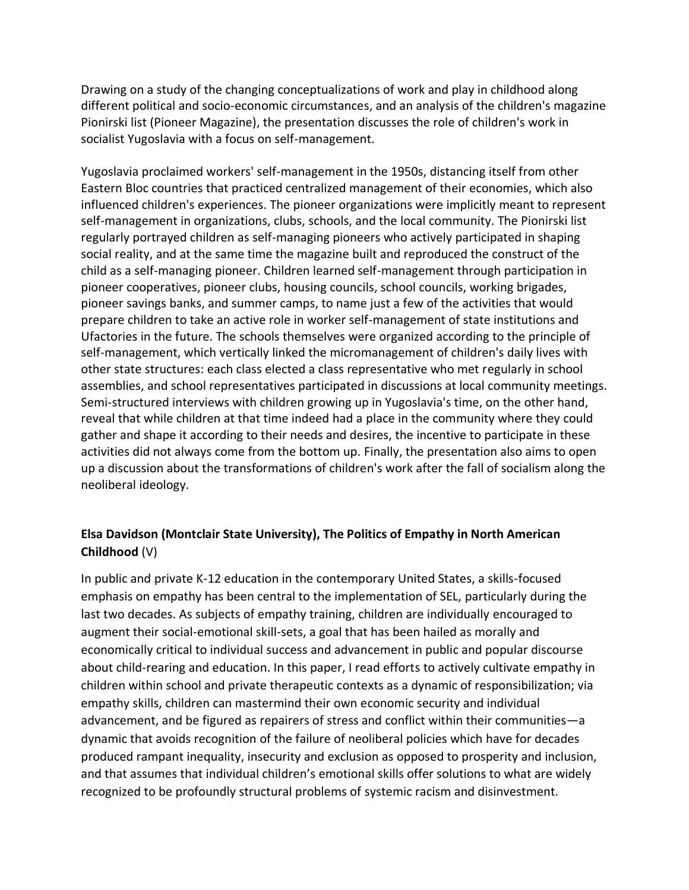Drawing on a study of the changing conceptualizations of work and play in childhood along different political and socio-economic circumstances, and an analysis of the children's magazine Pionirski list (Pioneer Magazine), the presentation discusses the role of children's work in socialist Yugoslavia with a focus on self-management.

Yugoslavia proclaimed workers' self-management in the 1950s, distancing itself from other Eastern Bloc countries that practiced centralized management of their economies, which also influenced children's experiences. The pioneer organizations were implicitly meant to represent self-management in organizations, clubs, schools, and the local community. The Pionirski list regularly portrayed children as self-managing pioneers who actively participated in shaping social reality, and at the same time the magazine built and reproduced the construct of the child as a self-managing pioneer. Children learned self-management through participation in pioneer cooperatives, pioneer clubs, housing councils, school councils, working brigades, pioneer savings banks, and summer camps, to name just a few of the activities that would prepare children to take an active role in worker self-management of state institutions and Ufactories in the future. The schools themselves were organized according to the principle of self-management, which vertically linked the micromanagement of children's daily lives with other state structures: each class elected a class representative who met regularly in school assemblies, and school representatives participated in discussions at local community meetings. Semi-structured interviews with children growing up in Yugoslavia's time, on the other hand, reveal that while children at that time indeed had a place in the community where they could gather and shape it according to their needs and desires, the incentive to participate in these activities did not always come from the bottom up. Finally, the presentation also aims to open up a discussion about the transformations of children's work after the fall of socialism along the neoliberal ideology.

### **Elsa Davidson (Montclair State University), The Politics of Empathy in North American Childhood** (V)

In public and private K-12 education in the contemporary United States, a skills-focused emphasis on empathy has been central to the implementation of SEL, particularly during the last two decades. As subjects of empathy training, children are individually encouraged to augment their social-emotional skill-sets, a goal that has been hailed as morally and economically critical to individual success and advancement in public and popular discourse about child-rearing and education. In this paper, I read efforts to actively cultivate empathy in children within school and private therapeutic contexts as a dynamic of responsibilization; via empathy skills, children can mastermind their own economic security and individual advancement, and be figured as repairers of stress and conflict within their communities—a dynamic that avoids recognition of the failure of neoliberal policies which have for decades produced rampant inequality, insecurity and exclusion as opposed to prosperity and inclusion, and that assumes that individual children's emotional skills offer solutions to what are widely recognized to be profoundly structural problems of systemic racism and disinvestment.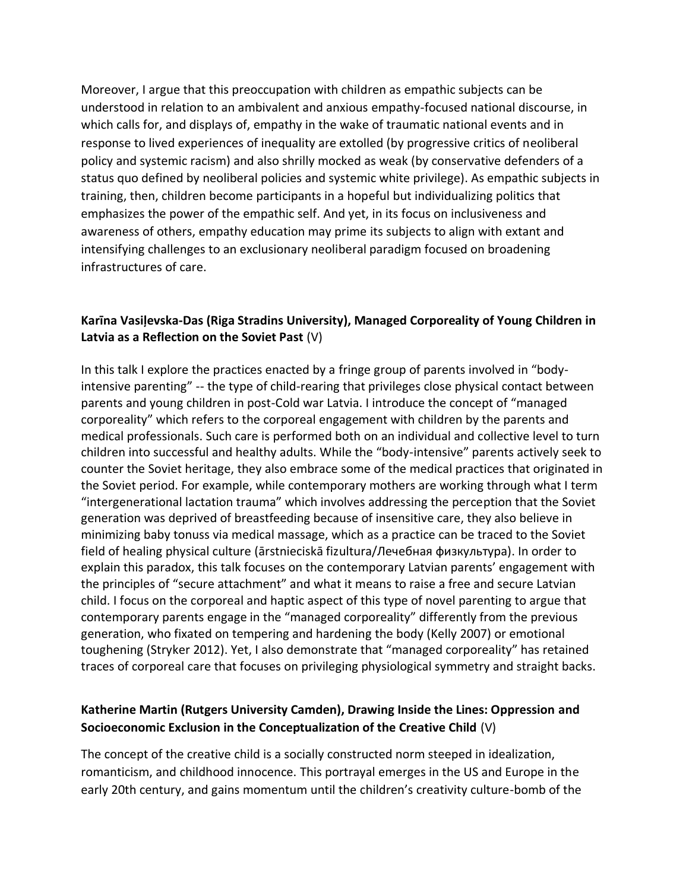Moreover, I argue that this preoccupation with children as empathic subjects can be understood in relation to an ambivalent and anxious empathy-focused national discourse, in which calls for, and displays of, empathy in the wake of traumatic national events and in response to lived experiences of inequality are extolled (by progressive critics of neoliberal policy and systemic racism) and also shrilly mocked as weak (by conservative defenders of a status quo defined by neoliberal policies and systemic white privilege). As empathic subjects in training, then, children become participants in a hopeful but individualizing politics that emphasizes the power of the empathic self. And yet, in its focus on inclusiveness and awareness of others, empathy education may prime its subjects to align with extant and intensifying challenges to an exclusionary neoliberal paradigm focused on broadening infrastructures of care.

### **Karīna Vasiļevska-Das (Riga Stradins University), Managed Corporeality of Young Children in Latvia as a Reflection on the Soviet Past** (V)

In this talk I explore the practices enacted by a fringe group of parents involved in "bodyintensive parenting" -- the type of child-rearing that privileges close physical contact between parents and young children in post-Cold war Latvia. I introduce the concept of "managed corporeality" which refers to the corporeal engagement with children by the parents and medical professionals. Such care is performed both on an individual and collective level to turn children into successful and healthy adults. While the "body-intensive" parents actively seek to counter the Soviet heritage, they also embrace some of the medical practices that originated in the Soviet period. For example, while contemporary mothers are working through what I term "intergenerational lactation trauma" which involves addressing the perception that the Soviet generation was deprived of breastfeeding because of insensitive care, they also believe in minimizing baby tonuss via medical massage, which as a practice can be traced to the Soviet field of healing physical culture (ārstnieciskā fizultura/Лечебная физкультура). In order to explain this paradox, this talk focuses on the contemporary Latvian parents' engagement with the principles of "secure attachment" and what it means to raise a free and secure Latvian child. I focus on the corporeal and haptic aspect of this type of novel parenting to argue that contemporary parents engage in the "managed corporeality" differently from the previous generation, who fixated on tempering and hardening the body (Kelly 2007) or emotional toughening (Stryker 2012). Yet, I also demonstrate that "managed corporeality" has retained traces of corporeal care that focuses on privileging physiological symmetry and straight backs.

### **Katherine Martin (Rutgers University Camden), Drawing Inside the Lines: Oppression and Socioeconomic Exclusion in the Conceptualization of the Creative Child** (V)

The concept of the creative child is a socially constructed norm steeped in idealization, romanticism, and childhood innocence. This portrayal emerges in the US and Europe in the early 20th century, and gains momentum until the children's creativity culture-bomb of the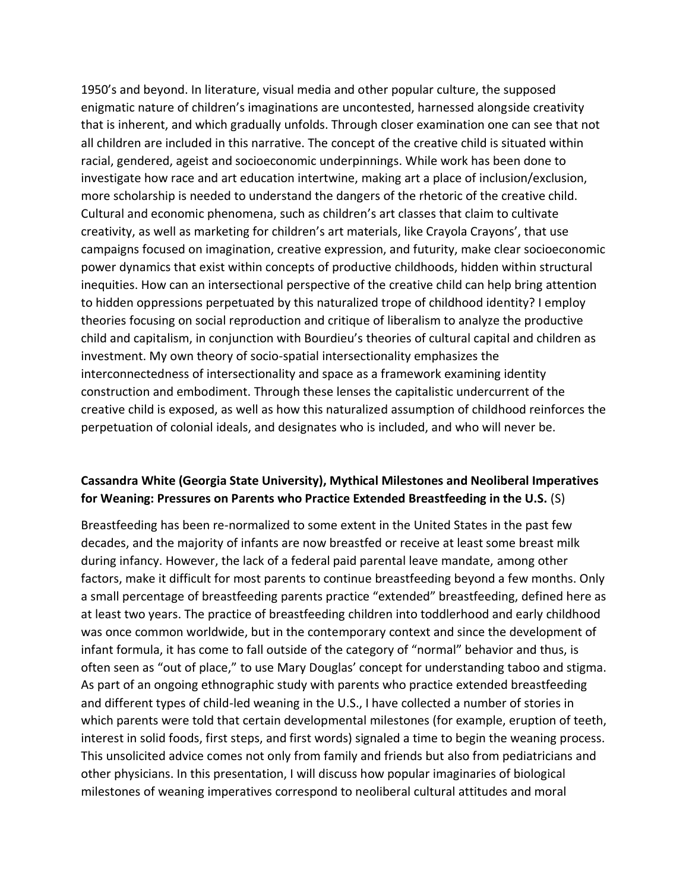1950's and beyond. In literature, visual media and other popular culture, the supposed enigmatic nature of children's imaginations are uncontested, harnessed alongside creativity that is inherent, and which gradually unfolds. Through closer examination one can see that not all children are included in this narrative. The concept of the creative child is situated within racial, gendered, ageist and socioeconomic underpinnings. While work has been done to investigate how race and art education intertwine, making art a place of inclusion/exclusion, more scholarship is needed to understand the dangers of the rhetoric of the creative child. Cultural and economic phenomena, such as children's art classes that claim to cultivate creativity, as well as marketing for children's art materials, like Crayola Crayons', that use campaigns focused on imagination, creative expression, and futurity, make clear socioeconomic power dynamics that exist within concepts of productive childhoods, hidden within structural inequities. How can an intersectional perspective of the creative child can help bring attention to hidden oppressions perpetuated by this naturalized trope of childhood identity? I employ theories focusing on social reproduction and critique of liberalism to analyze the productive child and capitalism, in conjunction with Bourdieu's theories of cultural capital and children as investment. My own theory of socio-spatial intersectionality emphasizes the interconnectedness of intersectionality and space as a framework examining identity construction and embodiment. Through these lenses the capitalistic undercurrent of the creative child is exposed, as well as how this naturalized assumption of childhood reinforces the perpetuation of colonial ideals, and designates who is included, and who will never be.

### **Cassandra White (Georgia State University), Mythical Milestones and Neoliberal Imperatives for Weaning: Pressures on Parents who Practice Extended Breastfeeding in the U.S.** (S)

Breastfeeding has been re-normalized to some extent in the United States in the past few decades, and the majority of infants are now breastfed or receive at least some breast milk during infancy. However, the lack of a federal paid parental leave mandate, among other factors, make it difficult for most parents to continue breastfeeding beyond a few months. Only a small percentage of breastfeeding parents practice "extended" breastfeeding, defined here as at least two years. The practice of breastfeeding children into toddlerhood and early childhood was once common worldwide, but in the contemporary context and since the development of infant formula, it has come to fall outside of the category of "normal" behavior and thus, is often seen as "out of place," to use Mary Douglas' concept for understanding taboo and stigma. As part of an ongoing ethnographic study with parents who practice extended breastfeeding and different types of child-led weaning in the U.S., I have collected a number of stories in which parents were told that certain developmental milestones (for example, eruption of teeth, interest in solid foods, first steps, and first words) signaled a time to begin the weaning process. This unsolicited advice comes not only from family and friends but also from pediatricians and other physicians. In this presentation, I will discuss how popular imaginaries of biological milestones of weaning imperatives correspond to neoliberal cultural attitudes and moral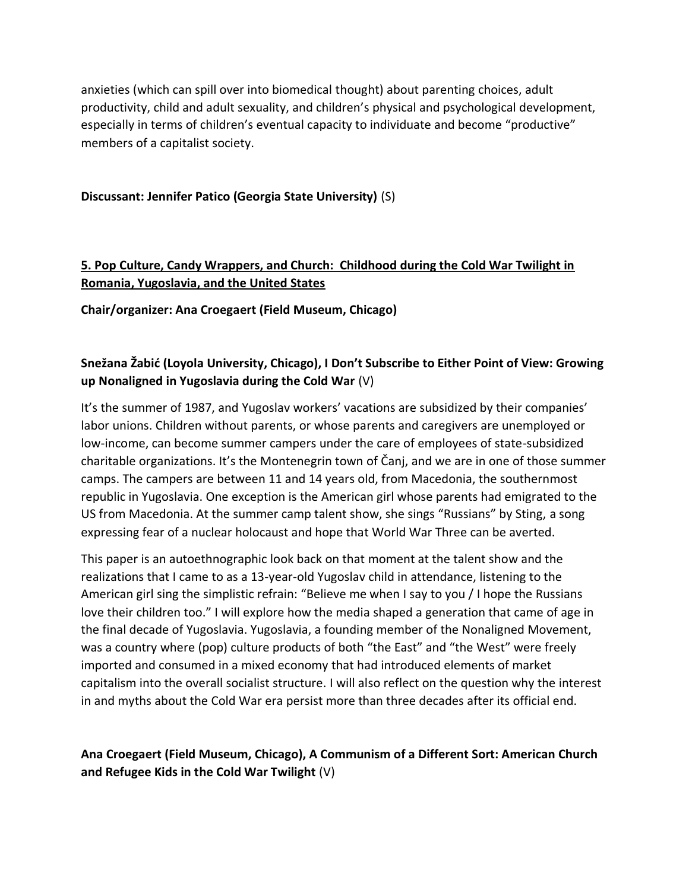anxieties (which can spill over into biomedical thought) about parenting choices, adult productivity, child and adult sexuality, and children's physical and psychological development, especially in terms of children's eventual capacity to individuate and become "productive" members of a capitalist society.

#### **Discussant: Jennifer Patico (Georgia State University)** (S)

# **5. Pop Culture, Candy Wrappers, and Church: Childhood during the Cold War Twilight in Romania, Yugoslavia, and the United States**

**Chair/organizer: Ana Croegaert (Field Museum, Chicago)**

# **Snežana Žabić (Loyola University, Chicago), I Don't Subscribe to Either Point of View: Growing up Nonaligned in Yugoslavia during the Cold War** (V)

It's the summer of 1987, and Yugoslav workers' vacations are subsidized by their companies' labor unions. Children without parents, or whose parents and caregivers are unemployed or low-income, can become summer campers under the care of employees of state-subsidized charitable organizations. It's the Montenegrin town of Čanj, and we are in one of those summer camps. The campers are between 11 and 14 years old, from Macedonia, the southernmost republic in Yugoslavia. One exception is the American girl whose parents had emigrated to the US from Macedonia. At the summer camp talent show, she sings "Russians" by Sting, a song expressing fear of a nuclear holocaust and hope that World War Three can be averted.

This paper is an autoethnographic look back on that moment at the talent show and the realizations that I came to as a 13-year-old Yugoslav child in attendance, listening to the American girl sing the simplistic refrain: "Believe me when I say to you / I hope the Russians love their children too." I will explore how the media shaped a generation that came of age in the final decade of Yugoslavia. Yugoslavia, a founding member of the Nonaligned Movement, was a country where (pop) culture products of both "the East" and "the West" were freely imported and consumed in a mixed economy that had introduced elements of market capitalism into the overall socialist structure. I will also reflect on the question why the interest in and myths about the Cold War era persist more than three decades after its official end.

# **Ana Croegaert (Field Museum, Chicago), A Communism of a Different Sort: American Church and Refugee Kids in the Cold War Twilight** (V)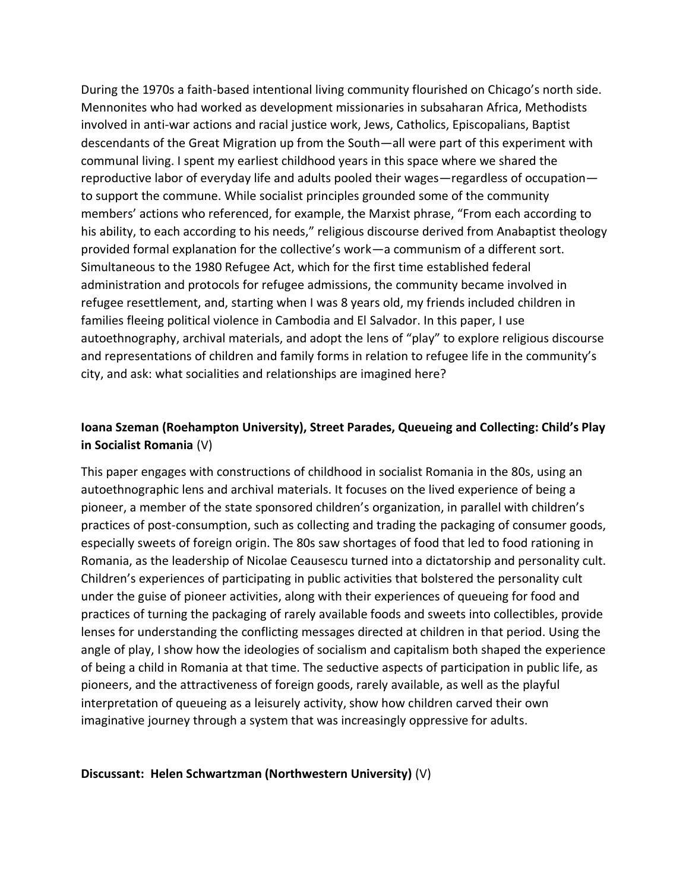During the 1970s a faith-based intentional living community flourished on Chicago's north side. Mennonites who had worked as development missionaries in subsaharan Africa, Methodists involved in anti-war actions and racial justice work, Jews, Catholics, Episcopalians, Baptist descendants of the Great Migration up from the South—all were part of this experiment with communal living. I spent my earliest childhood years in this space where we shared the reproductive labor of everyday life and adults pooled their wages—regardless of occupation to support the commune. While socialist principles grounded some of the community members' actions who referenced, for example, the Marxist phrase, "From each according to his ability, to each according to his needs," religious discourse derived from Anabaptist theology provided formal explanation for the collective's work—a communism of a different sort. Simultaneous to the 1980 Refugee Act, which for the first time established federal administration and protocols for refugee admissions, the community became involved in refugee resettlement, and, starting when I was 8 years old, my friends included children in families fleeing political violence in Cambodia and El Salvador. In this paper, I use autoethnography, archival materials, and adopt the lens of "play" to explore religious discourse and representations of children and family forms in relation to refugee life in the community's city, and ask: what socialities and relationships are imagined here?

# **Ioana Szeman (Roehampton University), Street Parades, Queueing and Collecting: Child's Play in Socialist Romania** (V)

This paper engages with constructions of childhood in socialist Romania in the 80s, using an autoethnographic lens and archival materials. It focuses on the lived experience of being a pioneer, a member of the state sponsored children's organization, in parallel with children's practices of post-consumption, such as collecting and trading the packaging of consumer goods, especially sweets of foreign origin. The 80s saw shortages of food that led to food rationing in Romania, as the leadership of Nicolae Ceausescu turned into a dictatorship and personality cult. Children's experiences of participating in public activities that bolstered the personality cult under the guise of pioneer activities, along with their experiences of queueing for food and practices of turning the packaging of rarely available foods and sweets into collectibles, provide lenses for understanding the conflicting messages directed at children in that period. Using the angle of play, I show how the ideologies of socialism and capitalism both shaped the experience of being a child in Romania at that time. The seductive aspects of participation in public life, as pioneers, and the attractiveness of foreign goods, rarely available, as well as the playful interpretation of queueing as a leisurely activity, show how children carved their own imaginative journey through a system that was increasingly oppressive for adults.

#### **Discussant: Helen Schwartzman (Northwestern University)** (V)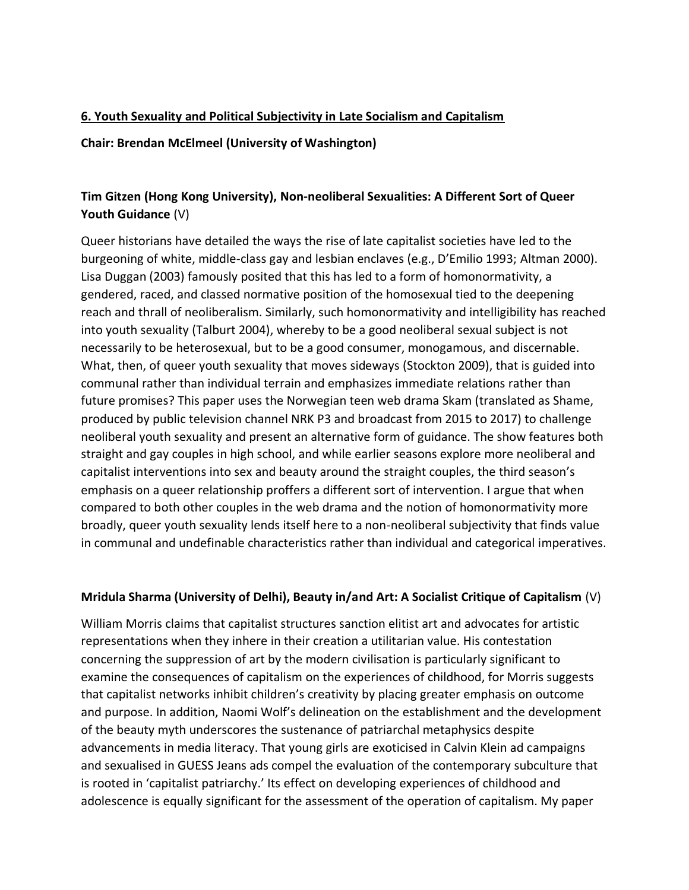### **6. Youth Sexuality and Political Subjectivity in Late Socialism and Capitalism**

**Chair: Brendan McElmeel (University of Washington)** 

# **Tim Gitzen (Hong Kong University), Non-neoliberal Sexualities: A Different Sort of Queer Youth Guidance** (V)

Queer historians have detailed the ways the rise of late capitalist societies have led to the burgeoning of white, middle-class gay and lesbian enclaves (e.g., D'Emilio 1993; Altman 2000). Lisa Duggan (2003) famously posited that this has led to a form of homonormativity, a gendered, raced, and classed normative position of the homosexual tied to the deepening reach and thrall of neoliberalism. Similarly, such homonormativity and intelligibility has reached into youth sexuality (Talburt 2004), whereby to be a good neoliberal sexual subject is not necessarily to be heterosexual, but to be a good consumer, monogamous, and discernable. What, then, of queer youth sexuality that moves sideways (Stockton 2009), that is guided into communal rather than individual terrain and emphasizes immediate relations rather than future promises? This paper uses the Norwegian teen web drama Skam (translated as Shame, produced by public television channel NRK P3 and broadcast from 2015 to 2017) to challenge neoliberal youth sexuality and present an alternative form of guidance. The show features both straight and gay couples in high school, and while earlier seasons explore more neoliberal and capitalist interventions into sex and beauty around the straight couples, the third season's emphasis on a queer relationship proffers a different sort of intervention. I argue that when compared to both other couples in the web drama and the notion of homonormativity more broadly, queer youth sexuality lends itself here to a non-neoliberal subjectivity that finds value in communal and undefinable characteristics rather than individual and categorical imperatives.

### **Mridula Sharma (University of Delhi), Beauty in/and Art: A Socialist Critique of Capitalism** (V)

William Morris claims that capitalist structures sanction elitist art and advocates for artistic representations when they inhere in their creation a utilitarian value. His contestation concerning the suppression of art by the modern civilisation is particularly significant to examine the consequences of capitalism on the experiences of childhood, for Morris suggests that capitalist networks inhibit children's creativity by placing greater emphasis on outcome and purpose. In addition, Naomi Wolf's delineation on the establishment and the development of the beauty myth underscores the sustenance of patriarchal metaphysics despite advancements in media literacy. That young girls are exoticised in Calvin Klein ad campaigns and sexualised in GUESS Jeans ads compel the evaluation of the contemporary subculture that is rooted in 'capitalist patriarchy.' Its effect on developing experiences of childhood and adolescence is equally significant for the assessment of the operation of capitalism. My paper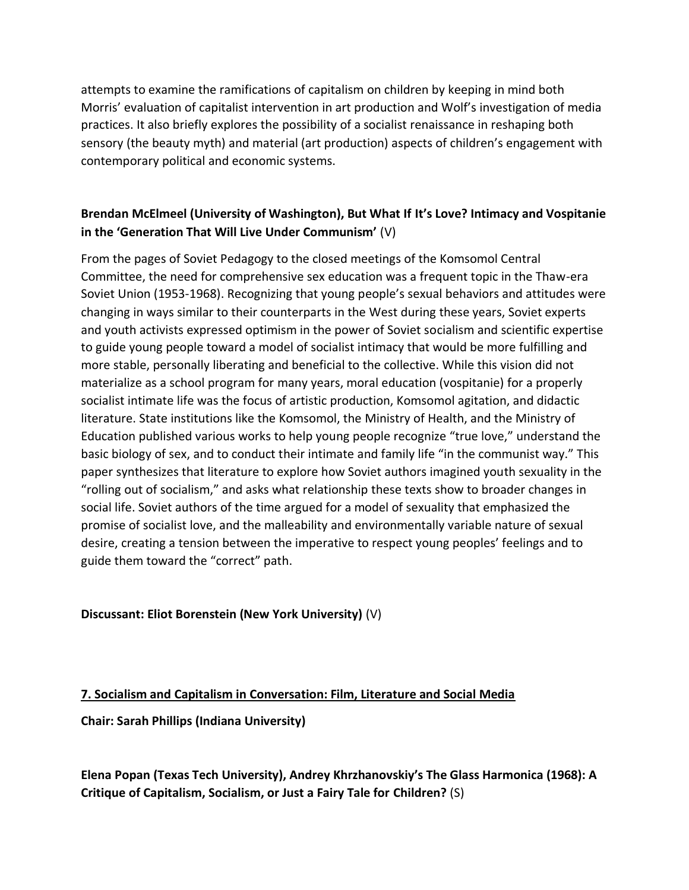attempts to examine the ramifications of capitalism on children by keeping in mind both Morris' evaluation of capitalist intervention in art production and Wolf's investigation of media practices. It also briefly explores the possibility of a socialist renaissance in reshaping both sensory (the beauty myth) and material (art production) aspects of children's engagement with contemporary political and economic systems.

# **Brendan McElmeel (University of Washington), But What If It's Love? Intimacy and Vospitanie in the 'Generation That Will Live Under Communism'** (V)

From the pages of Soviet Pedagogy to the closed meetings of the Komsomol Central Committee, the need for comprehensive sex education was a frequent topic in the Thaw-era Soviet Union (1953-1968). Recognizing that young people's sexual behaviors and attitudes were changing in ways similar to their counterparts in the West during these years, Soviet experts and youth activists expressed optimism in the power of Soviet socialism and scientific expertise to guide young people toward a model of socialist intimacy that would be more fulfilling and more stable, personally liberating and beneficial to the collective. While this vision did not materialize as a school program for many years, moral education (vospitanie) for a properly socialist intimate life was the focus of artistic production, Komsomol agitation, and didactic literature. State institutions like the Komsomol, the Ministry of Health, and the Ministry of Education published various works to help young people recognize "true love," understand the basic biology of sex, and to conduct their intimate and family life "in the communist way." This paper synthesizes that literature to explore how Soviet authors imagined youth sexuality in the "rolling out of socialism," and asks what relationship these texts show to broader changes in social life. Soviet authors of the time argued for a model of sexuality that emphasized the promise of socialist love, and the malleability and environmentally variable nature of sexual desire, creating a tension between the imperative to respect young peoples' feelings and to guide them toward the "correct" path.

### **Discussant: Eliot Borenstein (New York University)** (V)

### **7. Socialism and Capitalism in Conversation: Film, Literature and Social Media**

**Chair: Sarah Phillips (Indiana University)**

**Elena Popan (Texas Tech University), Andrey Khrzhanovskiy's The Glass Harmonica (1968): A Critique of Capitalism, Socialism, or Just a Fairy Tale for Children?** (S)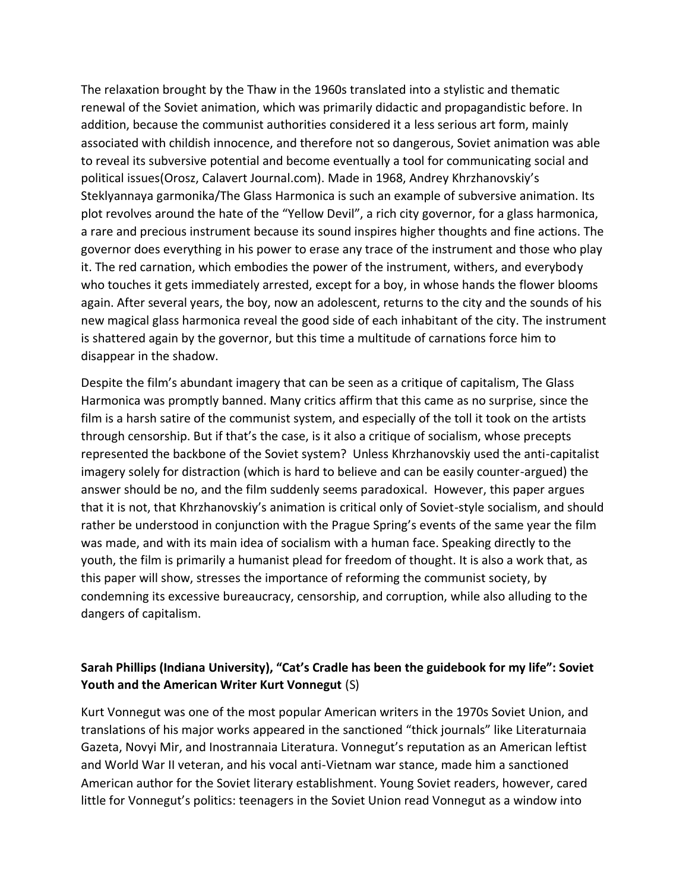The relaxation brought by the Thaw in the 1960s translated into a stylistic and thematic renewal of the Soviet animation, which was primarily didactic and propagandistic before. In addition, because the communist authorities considered it a less serious art form, mainly associated with childish innocence, and therefore not so dangerous, Soviet animation was able to reveal its subversive potential and become eventually a tool for communicating social and political issues(Orosz, Calavert Journal.com). Made in 1968, Andrey Khrzhanovskiy's Steklyannaya garmonika/The Glass Harmonica is such an example of subversive animation. Its plot revolves around the hate of the "Yellow Devil", a rich city governor, for a glass harmonica, a rare and precious instrument because its sound inspires higher thoughts and fine actions. The governor does everything in his power to erase any trace of the instrument and those who play it. The red carnation, which embodies the power of the instrument, withers, and everybody who touches it gets immediately arrested, except for a boy, in whose hands the flower blooms again. After several years, the boy, now an adolescent, returns to the city and the sounds of his new magical glass harmonica reveal the good side of each inhabitant of the city. The instrument is shattered again by the governor, but this time a multitude of carnations force him to disappear in the shadow.

Despite the film's abundant imagery that can be seen as a critique of capitalism, The Glass Harmonica was promptly banned. Many critics affirm that this came as no surprise, since the film is a harsh satire of the communist system, and especially of the toll it took on the artists through censorship. But if that's the case, is it also a critique of socialism, whose precepts represented the backbone of the Soviet system? Unless Khrzhanovskiy used the anti-capitalist imagery solely for distraction (which is hard to believe and can be easily counter-argued) the answer should be no, and the film suddenly seems paradoxical. However, this paper argues that it is not, that Khrzhanovskiy's animation is critical only of Soviet-style socialism, and should rather be understood in conjunction with the Prague Spring's events of the same year the film was made, and with its main idea of socialism with a human face. Speaking directly to the youth, the film is primarily a humanist plead for freedom of thought. It is also a work that, as this paper will show, stresses the importance of reforming the communist society, by condemning its excessive bureaucracy, censorship, and corruption, while also alluding to the dangers of capitalism.

### **Sarah Phillips (Indiana University), "Cat's Cradle has been the guidebook for my life": Soviet Youth and the American Writer Kurt Vonnegut** (S)

Kurt Vonnegut was one of the most popular American writers in the 1970s Soviet Union, and translations of his major works appeared in the sanctioned "thick journals" like Literaturnaia Gazeta, Novyi Mir, and Inostrannaia Literatura. Vonnegut's reputation as an American leftist and World War II veteran, and his vocal anti-Vietnam war stance, made him a sanctioned American author for the Soviet literary establishment. Young Soviet readers, however, cared little for Vonnegut's politics: teenagers in the Soviet Union read Vonnegut as a window into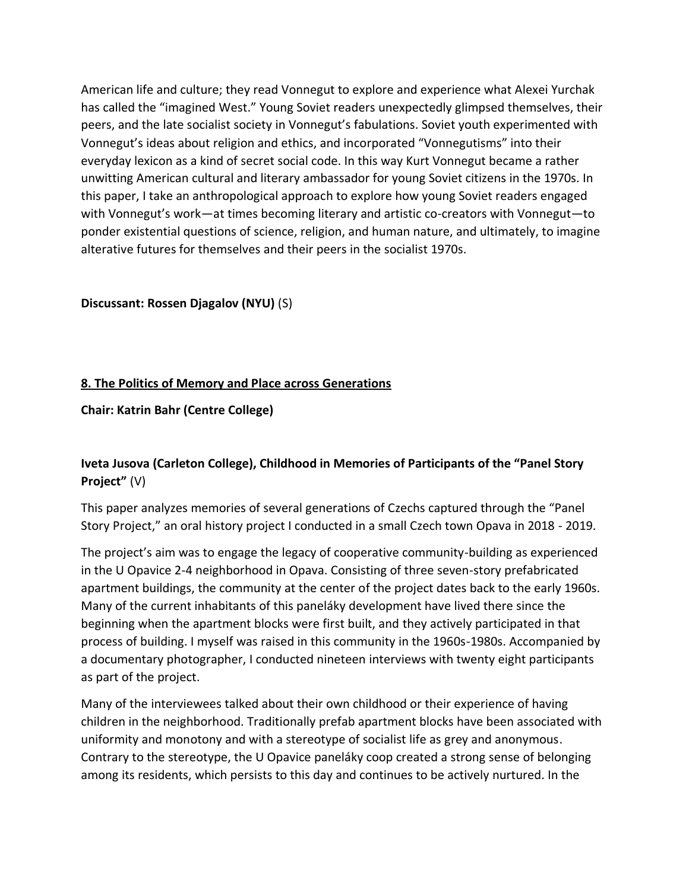American life and culture; they read Vonnegut to explore and experience what Alexei Yurchak has called the "imagined West." Young Soviet readers unexpectedly glimpsed themselves, their peers, and the late socialist society in Vonnegut's fabulations. Soviet youth experimented with Vonnegut's ideas about religion and ethics, and incorporated "Vonnegutisms" into their everyday lexicon as a kind of secret social code. In this way Kurt Vonnegut became a rather unwitting American cultural and literary ambassador for young Soviet citizens in the 1970s. In this paper, I take an anthropological approach to explore how young Soviet readers engaged with Vonnegut's work—at times becoming literary and artistic co-creators with Vonnegut—to ponder existential questions of science, religion, and human nature, and ultimately, to imagine alterative futures for themselves and their peers in the socialist 1970s.

#### **Discussant: Rossen Djagalov (NYU)** (S)

#### **8. The Politics of Memory and Place across Generations**

#### **Chair: Katrin Bahr (Centre College)**

# **Iveta Jusova (Carleton College), Childhood in Memories of Participants of the "Panel Story Project"** (V)

This paper analyzes memories of several generations of Czechs captured through the "Panel Story Project," an oral history project I conducted in a small Czech town Opava in 2018 - 2019.

The project's aim was to engage the legacy of cooperative community-building as experienced in the U Opavice 2-4 neighborhood in Opava. Consisting of three seven-story prefabricated apartment buildings, the community at the center of the project dates back to the early 1960s. Many of the current inhabitants of this paneláky development have lived there since the beginning when the apartment blocks were first built, and they actively participated in that process of building. I myself was raised in this community in the 1960s-1980s. Accompanied by a documentary photographer, I conducted nineteen interviews with twenty eight participants as part of the project.

Many of the interviewees talked about their own childhood or their experience of having children in the neighborhood. Traditionally prefab apartment blocks have been associated with uniformity and monotony and with a stereotype of socialist life as grey and anonymous. Contrary to the stereotype, the U Opavice paneláky coop created a strong sense of belonging among its residents, which persists to this day and continues to be actively nurtured. In the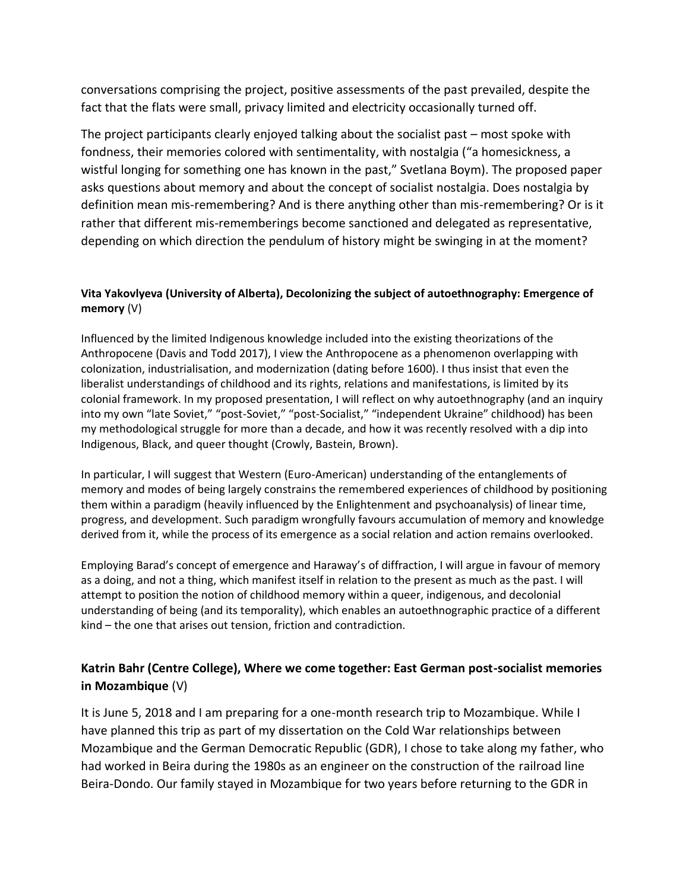conversations comprising the project, positive assessments of the past prevailed, despite the fact that the flats were small, privacy limited and electricity occasionally turned off.

The project participants clearly enjoyed talking about the socialist past – most spoke with fondness, their memories colored with sentimentality, with nostalgia ("a homesickness, a wistful longing for something one has known in the past," Svetlana Boym). The proposed paper asks questions about memory and about the concept of socialist nostalgia. Does nostalgia by definition mean mis-remembering? And is there anything other than mis-remembering? Or is it rather that different mis-rememberings become sanctioned and delegated as representative, depending on which direction the pendulum of history might be swinging in at the moment?

#### **Vita Yakovlyeva (University of Alberta), Decolonizing the subject of autoethnography: Emergence of memory** (V)

Influenced by the limited Indigenous knowledge included into the existing theorizations of the Anthropocene (Davis and Todd 2017), I view the Anthropocene as a phenomenon overlapping with colonization, industrialisation, and modernization (dating before 1600). I thus insist that even the liberalist understandings of childhood and its rights, relations and manifestations, is limited by its colonial framework. In my proposed presentation, I will reflect on why autoethnography (and an inquiry into my own "late Soviet," "post-Soviet," "post-Socialist," "independent Ukraine" childhood) has been my methodological struggle for more than a decade, and how it was recently resolved with a dip into Indigenous, Black, and queer thought (Crowly, Bastein, Brown).

In particular, I will suggest that Western (Euro-American) understanding of the entanglements of memory and modes of being largely constrains the remembered experiences of childhood by positioning them within a paradigm (heavily influenced by the Enlightenment and psychoanalysis) of linear time, progress, and development. Such paradigm wrongfully favours accumulation of memory and knowledge derived from it, while the process of its emergence as a social relation and action remains overlooked.

Employing Barad's concept of emergence and Haraway's of diffraction, I will argue in favour of memory as a doing, and not a thing, which manifest itself in relation to the present as much as the past. I will attempt to position the notion of childhood memory within a queer, indigenous, and decolonial understanding of being (and its temporality), which enables an autoethnographic practice of a different kind – the one that arises out tension, friction and contradiction.

# **Katrin Bahr (Centre College), Where we come together: East German post-socialist memories in Mozambique** (V)

It is June 5, 2018 and I am preparing for a one-month research trip to Mozambique. While I have planned this trip as part of my dissertation on the Cold War relationships between Mozambique and the German Democratic Republic (GDR), I chose to take along my father, who had worked in Beira during the 1980s as an engineer on the construction of the railroad line Beira-Dondo. Our family stayed in Mozambique for two years before returning to the GDR in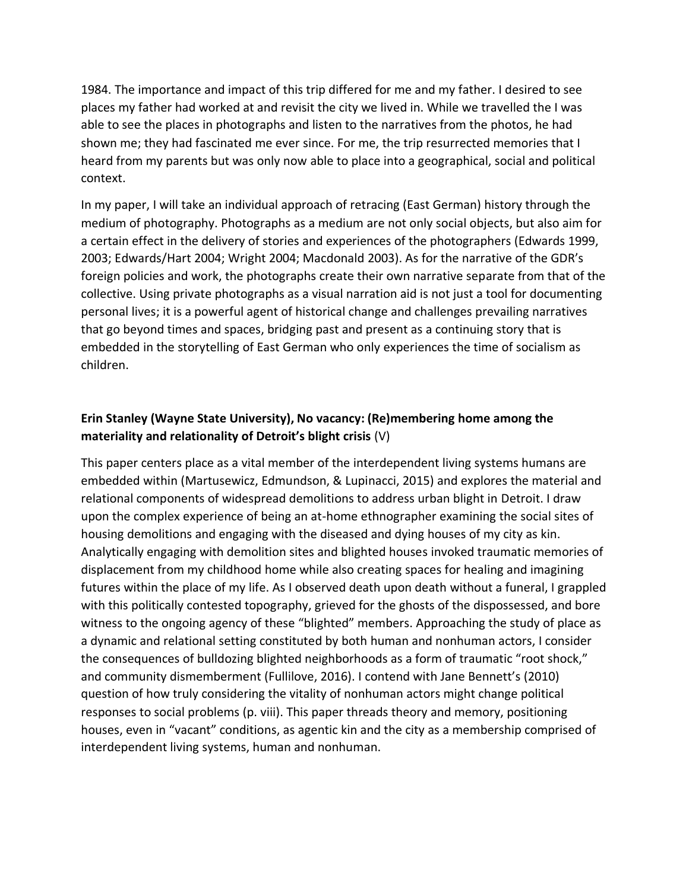1984. The importance and impact of this trip differed for me and my father. I desired to see places my father had worked at and revisit the city we lived in. While we travelled the I was able to see the places in photographs and listen to the narratives from the photos, he had shown me; they had fascinated me ever since. For me, the trip resurrected memories that I heard from my parents but was only now able to place into a geographical, social and political context.

In my paper, I will take an individual approach of retracing (East German) history through the medium of photography. Photographs as a medium are not only social objects, but also aim for a certain effect in the delivery of stories and experiences of the photographers (Edwards 1999, 2003; Edwards/Hart 2004; Wright 2004; Macdonald 2003). As for the narrative of the GDR's foreign policies and work, the photographs create their own narrative separate from that of the collective. Using private photographs as a visual narration aid is not just a tool for documenting personal lives; it is a powerful agent of historical change and challenges prevailing narratives that go beyond times and spaces, bridging past and present as a continuing story that is embedded in the storytelling of East German who only experiences the time of socialism as children.

# **Erin Stanley (Wayne State University), No vacancy: (Re)membering home among the materiality and relationality of Detroit's blight crisis** (V)

This paper centers place as a vital member of the interdependent living systems humans are embedded within (Martusewicz, Edmundson, & Lupinacci, 2015) and explores the material and relational components of widespread demolitions to address urban blight in Detroit. I draw upon the complex experience of being an at-home ethnographer examining the social sites of housing demolitions and engaging with the diseased and dying houses of my city as kin. Analytically engaging with demolition sites and blighted houses invoked traumatic memories of displacement from my childhood home while also creating spaces for healing and imagining futures within the place of my life. As I observed death upon death without a funeral, I grappled with this politically contested topography, grieved for the ghosts of the dispossessed, and bore witness to the ongoing agency of these "blighted" members. Approaching the study of place as a dynamic and relational setting constituted by both human and nonhuman actors, I consider the consequences of bulldozing blighted neighborhoods as a form of traumatic "root shock," and community dismemberment (Fullilove, 2016). I contend with Jane Bennett's (2010) question of how truly considering the vitality of nonhuman actors might change political responses to social problems (p. viii). This paper threads theory and memory, positioning houses, even in "vacant" conditions, as agentic kin and the city as a membership comprised of interdependent living systems, human and nonhuman.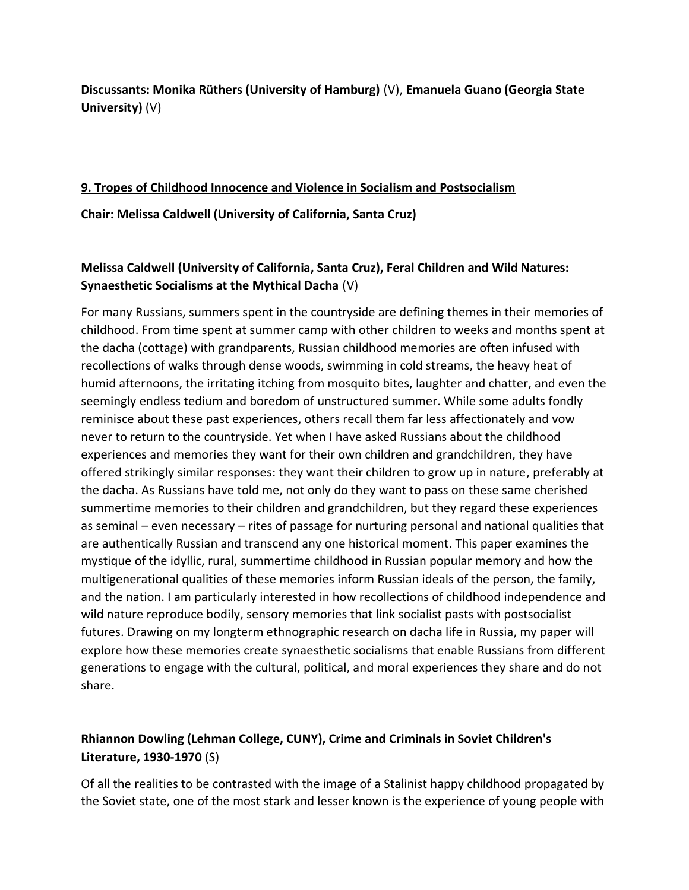**Discussants: Monika Rüthers (University of Hamburg)** (V), **Emanuela Guano (Georgia State University)** (V)

# **9. Tropes of Childhood Innocence and Violence in Socialism and Postsocialism Chair: Melissa Caldwell (University of California, Santa Cruz)**

# **Melissa Caldwell (University of California, Santa Cruz), Feral Children and Wild Natures: Synaesthetic Socialisms at the Mythical Dacha** (V)

For many Russians, summers spent in the countryside are defining themes in their memories of childhood. From time spent at summer camp with other children to weeks and months spent at the dacha (cottage) with grandparents, Russian childhood memories are often infused with recollections of walks through dense woods, swimming in cold streams, the heavy heat of humid afternoons, the irritating itching from mosquito bites, laughter and chatter, and even the seemingly endless tedium and boredom of unstructured summer. While some adults fondly reminisce about these past experiences, others recall them far less affectionately and vow never to return to the countryside. Yet when I have asked Russians about the childhood experiences and memories they want for their own children and grandchildren, they have offered strikingly similar responses: they want their children to grow up in nature, preferably at the dacha. As Russians have told me, not only do they want to pass on these same cherished summertime memories to their children and grandchildren, but they regard these experiences as seminal – even necessary – rites of passage for nurturing personal and national qualities that are authentically Russian and transcend any one historical moment. This paper examines the mystique of the idyllic, rural, summertime childhood in Russian popular memory and how the multigenerational qualities of these memories inform Russian ideals of the person, the family, and the nation. I am particularly interested in how recollections of childhood independence and wild nature reproduce bodily, sensory memories that link socialist pasts with postsocialist futures. Drawing on my longterm ethnographic research on dacha life in Russia, my paper will explore how these memories create synaesthetic socialisms that enable Russians from different generations to engage with the cultural, political, and moral experiences they share and do not share.

# **Rhiannon Dowling (Lehman College, CUNY), Crime and Criminals in Soviet Children's Literature, 1930-1970** (S)

Of all the realities to be contrasted with the image of a Stalinist happy childhood propagated by the Soviet state, one of the most stark and lesser known is the experience of young people with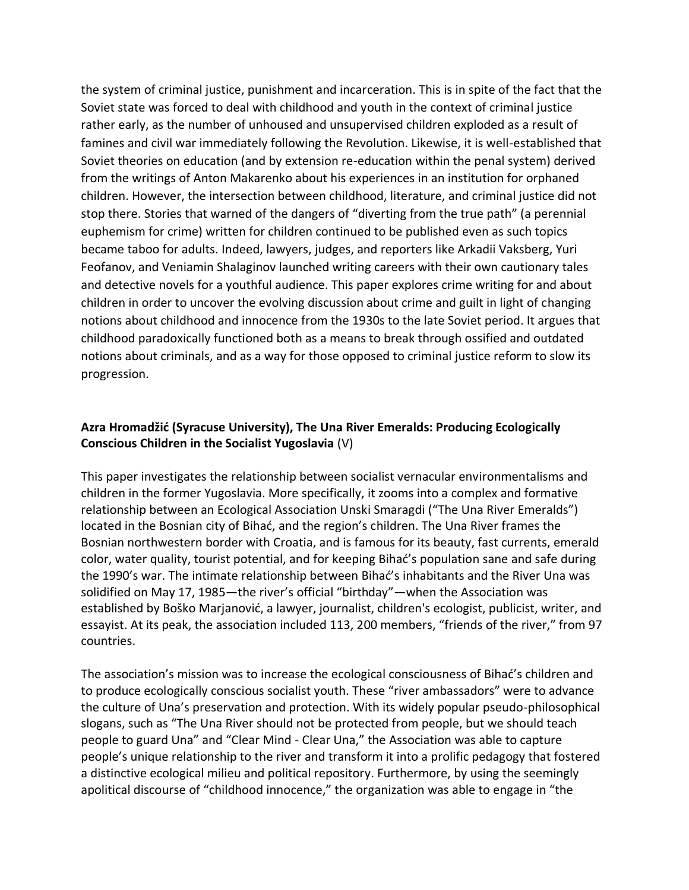the system of criminal justice, punishment and incarceration. This is in spite of the fact that the Soviet state was forced to deal with childhood and youth in the context of criminal justice rather early, as the number of unhoused and unsupervised children exploded as a result of famines and civil war immediately following the Revolution. Likewise, it is well-established that Soviet theories on education (and by extension re-education within the penal system) derived from the writings of Anton Makarenko about his experiences in an institution for orphaned children. However, the intersection between childhood, literature, and criminal justice did not stop there. Stories that warned of the dangers of "diverting from the true path" (a perennial euphemism for crime) written for children continued to be published even as such topics became taboo for adults. Indeed, lawyers, judges, and reporters like Arkadii Vaksberg, Yuri Feofanov, and Veniamin Shalaginov launched writing careers with their own cautionary tales and detective novels for a youthful audience. This paper explores crime writing for and about children in order to uncover the evolving discussion about crime and guilt in light of changing notions about childhood and innocence from the 1930s to the late Soviet period. It argues that childhood paradoxically functioned both as a means to break through ossified and outdated notions about criminals, and as a way for those opposed to criminal justice reform to slow its progression.

### **Azra Hromadžić (Syracuse University), The Una River Emeralds: Producing Ecologically Conscious Children in the Socialist Yugoslavia** (V)

This paper investigates the relationship between socialist vernacular environmentalisms and children in the former Yugoslavia. More specifically, it zooms into a complex and formative relationship between an Ecological Association Unski Smaragdi ("The Una River Emeralds") located in the Bosnian city of Bihać, and the region's children. The Una River frames the Bosnian northwestern border with Croatia, and is famous for its beauty, fast currents, emerald color, water quality, tourist potential, and for keeping Bihać's population sane and safe during the 1990's war. The intimate relationship between Bihać's inhabitants and the River Una was solidified on May 17, 1985—the river's official "birthday"—when the Association was established by Boško Marjanović, a lawyer, journalist, children's ecologist, publicist, writer, and essayist. At its peak, the association included 113, 200 members, "friends of the river," from 97 countries.

The association's mission was to increase the ecological consciousness of Bihać's children and to produce ecologically conscious socialist youth. These "river ambassadors" were to advance the culture of Una's preservation and protection. With its widely popular pseudo-philosophical slogans, such as "The Una River should not be protected from people, but we should teach people to guard Una" and "Clear Mind - Clear Una," the Association was able to capture people's unique relationship to the river and transform it into a prolific pedagogy that fostered a distinctive ecological milieu and political repository. Furthermore, by using the seemingly apolitical discourse of "childhood innocence," the organization was able to engage in "the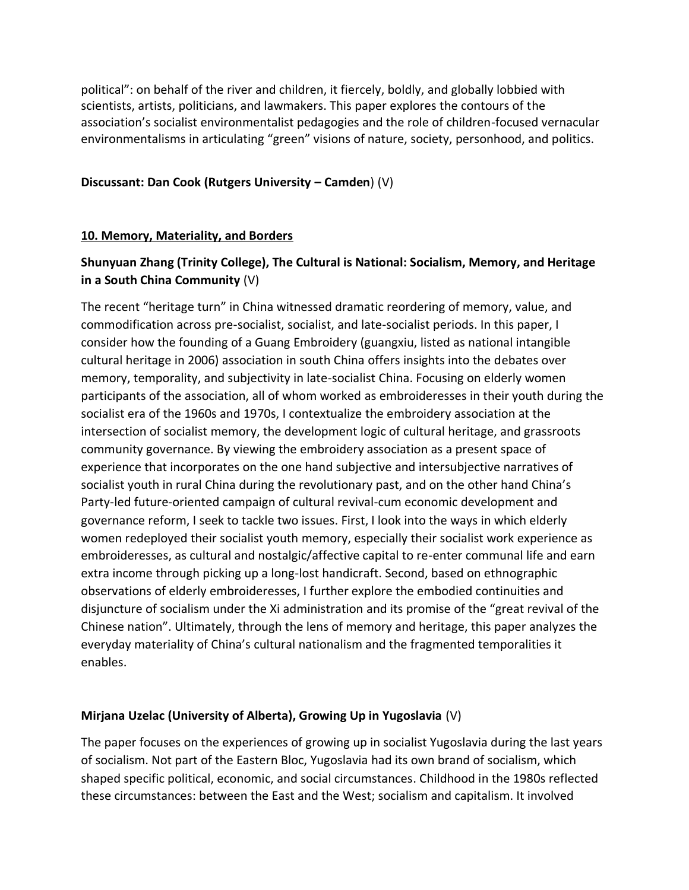political": on behalf of the river and children, it fiercely, boldly, and globally lobbied with scientists, artists, politicians, and lawmakers. This paper explores the contours of the association's socialist environmentalist pedagogies and the role of children-focused vernacular environmentalisms in articulating "green" visions of nature, society, personhood, and politics.

#### **Discussant: Dan Cook (Rutgers University – Camden**) (V)

#### **10. Memory, Materiality, and Borders**

# **Shunyuan Zhang (Trinity College), The Cultural is National: Socialism, Memory, and Heritage in a South China Community** (V)

The recent "heritage turn" in China witnessed dramatic reordering of memory, value, and commodification across pre-socialist, socialist, and late-socialist periods. In this paper, I consider how the founding of a Guang Embroidery (guangxiu, listed as national intangible cultural heritage in 2006) association in south China offers insights into the debates over memory, temporality, and subjectivity in late-socialist China. Focusing on elderly women participants of the association, all of whom worked as embroideresses in their youth during the socialist era of the 1960s and 1970s, I contextualize the embroidery association at the intersection of socialist memory, the development logic of cultural heritage, and grassroots community governance. By viewing the embroidery association as a present space of experience that incorporates on the one hand subjective and intersubjective narratives of socialist youth in rural China during the revolutionary past, and on the other hand China's Party-led future-oriented campaign of cultural revival-cum economic development and governance reform, I seek to tackle two issues. First, I look into the ways in which elderly women redeployed their socialist youth memory, especially their socialist work experience as embroideresses, as cultural and nostalgic/affective capital to re-enter communal life and earn extra income through picking up a long-lost handicraft. Second, based on ethnographic observations of elderly embroideresses, I further explore the embodied continuities and disjuncture of socialism under the Xi administration and its promise of the "great revival of the Chinese nation". Ultimately, through the lens of memory and heritage, this paper analyzes the everyday materiality of China's cultural nationalism and the fragmented temporalities it enables.

### **Mirjana Uzelac (University of Alberta), Growing Up in Yugoslavia** (V)

The paper focuses on the experiences of growing up in socialist Yugoslavia during the last years of socialism. Not part of the Eastern Bloc, Yugoslavia had its own brand of socialism, which shaped specific political, economic, and social circumstances. Childhood in the 1980s reflected these circumstances: between the East and the West; socialism and capitalism. It involved